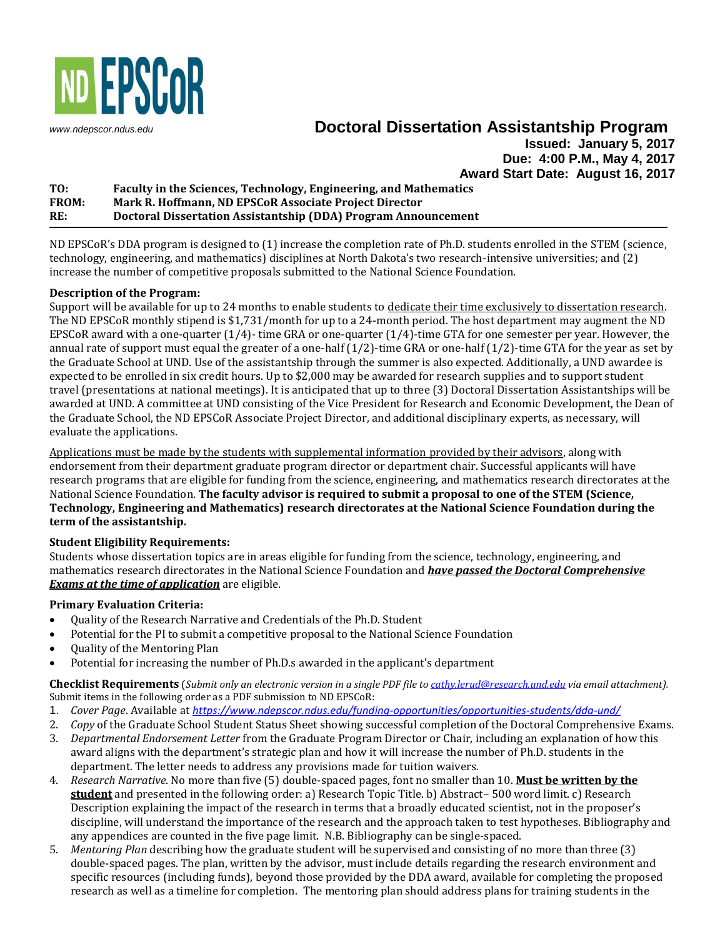

# *[www.ndepscor.ndus.edu](http://www.ndepscor.ndus.edu/)* **Doctoral Dissertation Assistantship Program**

**Issued: January 5, 2017 Due: 4:00 P.M., May 4, 2017 Award Start Date: August 16, 2017**

## **TO: Faculty in the Sciences, Technology, Engineering, and Mathematics FROM: Mark R. Hoffmann, ND EPSCoR Associate Project Director RE: Doctoral Dissertation Assistantship (DDA) Program Announcement**

ND EPSCoR's DDA program is designed to (1) increase the completion rate of Ph.D. students enrolled in the STEM (science, technology, engineering, and mathematics) disciplines at North Dakota's two research-intensive universities; and (2) increase the number of competitive proposals submitted to the National Science Foundation.

## **Description of the Program:**

Support will be available for up to 24 months to enable students to dedicate their time exclusively to dissertation research. The ND EPSCoR monthly stipend is \$1,731/month for up to a 24-month period. The host department may augment the ND EPSCoR award with a one-quarter (1/4)- time GRA or one-quarter (1/4)-time GTA for one semester per year. However, the annual rate of support must equal the greater of a one-half  $(1/2)$ -time GRA or one-half  $(1/2)$ -time GTA for the year as set by the Graduate School at UND. Use of the assistantship through the summer is also expected. Additionally, a UND awardee is expected to be enrolled in six credit hours. Up to \$2,000 may be awarded for research supplies and to support student travel (presentations at national meetings). It is anticipated that up to three (3) Doctoral Dissertation Assistantships will be awarded at UND. A committee at UND consisting of the Vice President for Research and Economic Development, the Dean of the Graduate School, the ND EPSCoR Associate Project Director, and additional disciplinary experts, as necessary, will evaluate the applications.

Applications must be made by the students with supplemental information provided by their advisors, along with endorsement from their department graduate program director or department chair. Successful applicants will have research programs that are eligible for funding from the science, engineering, and mathematics research directorates at the National Science Foundation. **The faculty advisor is required to submit a proposal to one of the STEM (Science, Technology, Engineering and Mathematics) research directorates at the National Science Foundation during the term of the assistantship.**

# **Student Eligibility Requirements:**

Students whose dissertation topics are in areas eligible for funding from the science, technology, engineering, and mathematics research directorates in the National Science Foundation and *have passed the Doctoral Comprehensive Exams at the time of application* are eligible.

#### **Primary Evaluation Criteria:**

- Quality of the Research Narrative and Credentials of the Ph.D. Student
- Potential for the PI to submit a competitive proposal to the National Science Foundation
- Quality of the Mentoring Plan
- Potential for increasing the number of Ph.D.s awarded in the applicant's department

**Checklist Requirements** (*Submit only an electronic version in a single PDF file to [cathy.lerud@research.und.edu](mailto:cathy.lerud@research.und.edu) via email attachment).*  Submit items in the following order as a PDF submission to ND EPSCoR:

- 1. *Cover Page*. Available at *<https://www.ndepscor.ndus.edu/funding-opportunities/opportunities-students/dda-und/>*
- 2. *Copy* of the Graduate School Student Status Sheet showing successful completion of the Doctoral Comprehensive Exams.
- 3. *Departmental Endorsement Letter* from the Graduate Program Director or Chair, including an explanation of how this award aligns with the department's strategic plan and how it will increase the number of Ph.D. students in the department. The letter needs to address any provisions made for tuition waivers.
- 4. *Research Narrative*. No more than five (5) double-spaced pages, font no smaller than 10. **Must be written by the student** and presented in the following order: a) Research Topic Title. b) Abstract– 500 word limit. c) Research Description explaining the impact of the research in terms that a broadly educated scientist, not in the proposer's discipline, will understand the importance of the research and the approach taken to test hypotheses. Bibliography and any appendices are counted in the five page limit. N.B. Bibliography can be single-spaced.
- 5. *Mentoring Plan* describing how the graduate student will be supervised and consisting of no more than three (3) double-spaced pages. The plan, written by the advisor, must include details regarding the research environment and specific resources (including funds), beyond those provided by the DDA award, available for completing the proposed research as well as a timeline for completion. The mentoring plan should address plans for training students in the